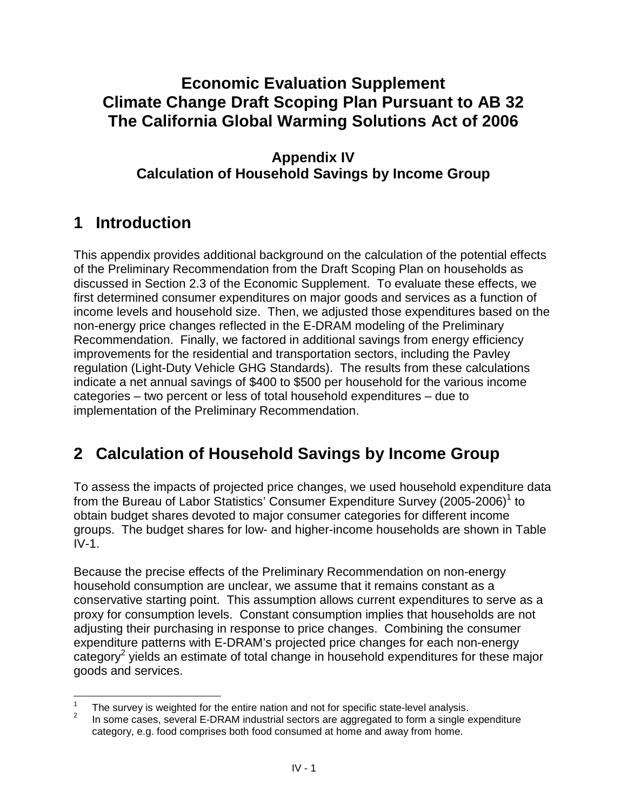### **Climate Change Draft Scoping Plan Pursuant to AB 32 The California Global Warming Solutions Act of 2006 Economic Evaluation Supplement**

### **Appendix IV Calculation of Household Savings by Income Group**

## **1 Introduction**

 This appendix provides additional background on the calculation of the potential effects of the Preliminary Recommendation from the Draft Scoping Plan on households as discussed in Section 2.3 of the Economic Supplement. To evaluate these effects, we first determined consumer expenditures on major goods and services as a function of income levels and household size. Then, we adjusted those expenditures based on the non-energy price changes reflected in the E-DRAM modeling of the Preliminary Recommendation. Finally, we factored in additional savings from energy efficiency improvements for the residential and transportation sectors, including the Pavley regulation (Light-Duty Vehicle GHG Standards). The results from these calculations indicate a net annual savings of \$400 to \$500 per household for the various income categories – two percent or less of total household expenditures – due to implementation of the Preliminary Recommendation.

# **2 Calculation of Household Savings by Income Group**

 To assess the impacts of projected price changes, we used household expenditure data from the Bureau of Labor Statistics' Consumer Expenditure Survey (2005-2006)<sup>1</sup> to obtain budget shares devoted to major consumer categories for different income groups. The budget shares for low- and higher-income households are shown in Table  $IV-1.$ 

 Because the precise effects of the Preliminary Recommendation on non-energy household consumption are unclear, we assume that it remains constant as a conservative starting point. This assumption allows current expenditures to serve as a proxy for consumption levels. Constant consumption implies that households are not adjusting their purchasing in response to price changes. Combining the consumer expenditure patterns with E-DRAM's projected price changes for each non-energy category<sup>2</sup> yields an estimate of total change in household expenditures for these major goods and services.

<sup>1</sup> 

 category, e.g. food comprises both food consumed at home and away from home. The survey is weighted for the entire nation and not for specific state-level analysis.<br>In some cases, several E-DRAM industrial sectors are aggregated to form a single expenditure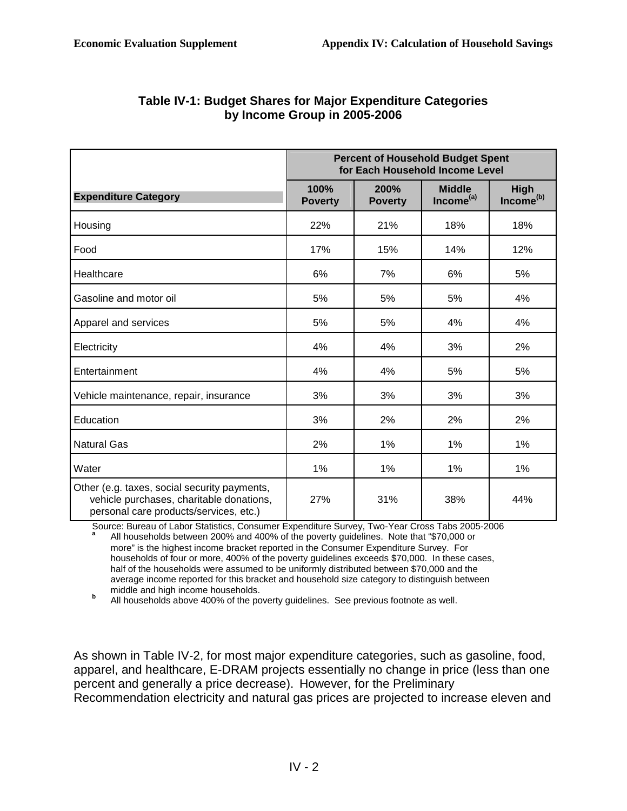|                                                                                                                                    | <b>Percent of Household Budget Spent</b><br>for Each Household Income Level |                        |                                        |                                      |
|------------------------------------------------------------------------------------------------------------------------------------|-----------------------------------------------------------------------------|------------------------|----------------------------------------|--------------------------------------|
| <b>Expenditure Category</b>                                                                                                        | 100%<br><b>Poverty</b>                                                      | 200%<br><b>Poverty</b> | <b>Middle</b><br>Income <sup>(a)</sup> | <b>High</b><br>Income <sup>(b)</sup> |
| Housing                                                                                                                            | 22%                                                                         | 21%                    | 18%                                    | 18%                                  |
| Food                                                                                                                               | 17%                                                                         | 15%                    | 14%                                    | 12%                                  |
| Healthcare                                                                                                                         | 6%                                                                          | 7%                     | 6%                                     | 5%                                   |
| Gasoline and motor oil                                                                                                             | 5%                                                                          | 5%                     | 5%                                     | 4%                                   |
| Apparel and services                                                                                                               | 5%                                                                          | 5%                     | 4%                                     | 4%                                   |
| Electricity                                                                                                                        | 4%                                                                          | 4%                     | 3%                                     | 2%                                   |
| Entertainment                                                                                                                      | 4%                                                                          | 4%                     | 5%                                     | 5%                                   |
| Vehicle maintenance, repair, insurance                                                                                             | 3%                                                                          | 3%                     | 3%                                     | 3%                                   |
| Education                                                                                                                          | 3%                                                                          | 2%                     | 2%                                     | 2%                                   |
| <b>Natural Gas</b>                                                                                                                 | 2%                                                                          | $1\%$                  | 1%                                     | 1%                                   |
| Water                                                                                                                              | 1%                                                                          | 1%                     | 1%                                     | 1%                                   |
| Other (e.g. taxes, social security payments,<br>vehicle purchases, charitable donations,<br>personal care products/services, etc.) | 27%                                                                         | 31%                    | 38%                                    | 44%                                  |

### **Table IV-1: Budget Shares for Major Expenditure Categories by Income Group in 2005-2006**

 Source: Bureau of Labor Statistics, Consumer Expenditure Survey, Two-Year Cross Tabs 2005-2006 more" is the highest income bracket reported in the Consumer Expenditure Survey. For households of four or more, 400% of the poverty guidelines exceeds \$70,000. In these cases, half of the households were assumed to be uniformly distributed between \$70,000 and the average income reported for this bracket and household size category to distinguish between middle and high income households. **<sup>a</sup>**All households between 200% and 400% of the poverty guidelines. Note that "\$70,000 or

middle and high income households.<br>**b**All households above 400% of the poverty guidelines. See previous footnote as well.

 As shown in Table IV-2, for most major expenditure categories, such as gasoline, food, apparel, and healthcare, E-DRAM projects essentially no change in price (less than one percent and generally a price decrease). However, for the Preliminary Recommendation electricity and natural gas prices are projected to increase eleven and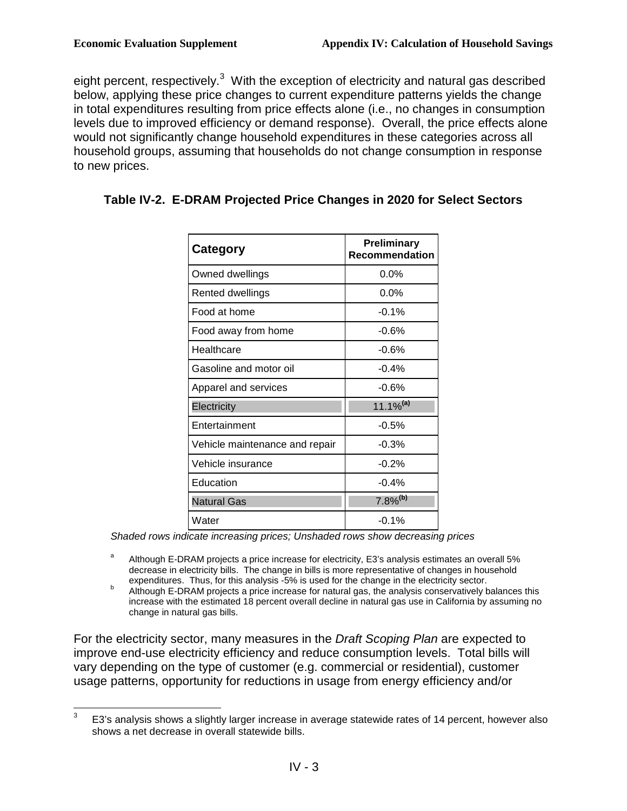$\overline{a}$ 

eight percent, respectively. $3$  With the exception of electricity and natural gas described below, applying these price changes to current expenditure patterns yields the change in total expenditures resulting from price effects alone (i.e., no changes in consumption levels due to improved efficiency or demand response). Overall, the price effects alone would not significantly change household expenditures in these categories across all household groups, assuming that households do not change consumption in response to new prices.

| Category                       | <b>Preliminary</b><br><b>Recommendation</b> |  |  |
|--------------------------------|---------------------------------------------|--|--|
| Owned dwellings                | $0.0\%$                                     |  |  |
| Rented dwellings               | $0.0\%$                                     |  |  |
| Food at home                   | $-0.1%$                                     |  |  |
| Food away from home            | $-0.6%$                                     |  |  |
| Healthcare                     | $-0.6%$                                     |  |  |
| Gasoline and motor oil         | $-0.4%$                                     |  |  |
| Apparel and services           | -0.6%                                       |  |  |
| Electricity                    | 11.1% <sup>(a)</sup>                        |  |  |
| Entertainment                  | $-0.5%$                                     |  |  |
| Vehicle maintenance and repair | $-0.3%$                                     |  |  |
| Vehicle insurance              | $-0.2%$                                     |  |  |
| Education                      | $-0.4%$                                     |  |  |
| <b>Natural Gas</b>             | $7.8\%$ <sup>(b)</sup>                      |  |  |
| Water                          | $-0.1%$                                     |  |  |

#### **Table IV-2. E-DRAM Projected Price Changes in 2020 for Select Sectors**

Shaded rows indicate increasing prices; Unshaded rows show decreasing prices

- <sup>a</sup> Although E-DRAM projects a price increase for electricity, E3's analysis estimates an overall 5% decrease in electricity bills. The change in bills is more representative of changes in household expenditures. Thus, for this analysis -5% is used for the change in the electricity sector.
- expenditures. Thus, for this analysis -5% is used for the change in the electricity sector.<br><sup>b</sup> Although E-DRAM projects a price increase for natural gas, the analysis conservatively balances this increase with the estimated 18 percent overall decline in natural gas use in California by assuming no change in natural gas bills.

For the electricity sector, many measures in the Draft Scoping Plan are expected to improve end-use electricity efficiency and reduce consumption levels. Total bills will vary depending on the type of customer (e.g. commercial or residential), customer usage patterns, opportunity for reductions in usage from energy efficiency and/or

 3 shows a net decrease in overall statewide bills. E3's analysis shows a slightly larger increase in average statewide rates of 14 percent, however also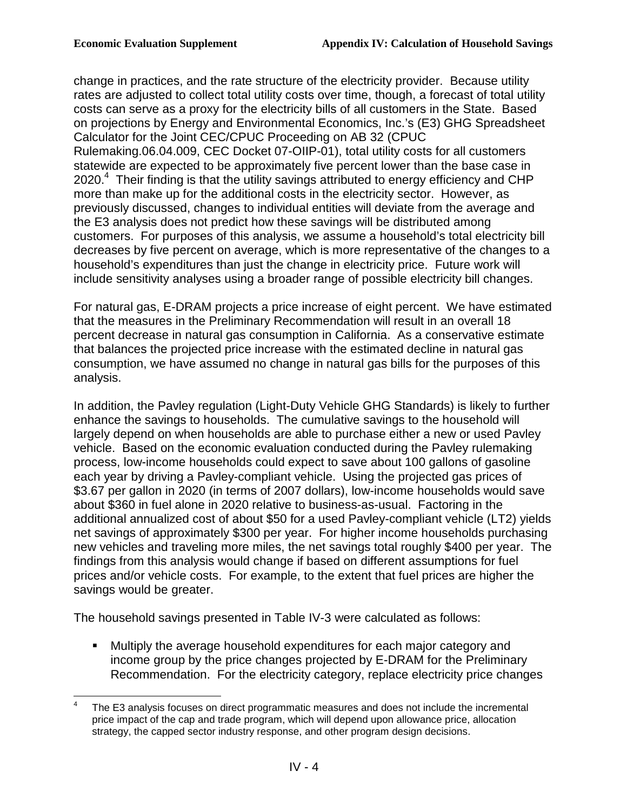change in practices, and the rate structure of the electricity provider. Because utility rates are adjusted to collect total utility costs over time, though, a forecast of total utility costs can serve as a proxy for the electricity bills of all customers in the State. Based on projections by Energy and Environmental Economics, Inc.'s (E3) GHG Spreadsheet Calculator for the Joint CEC/CPUC Proceeding on AB 32 (CPUC Rulemaking.06.04.009, CEC Docket 07-OIIP-01), total utility costs for all customers statewide are expected to be approximately five percent lower than the base case in 2020. $4$  Their finding is that the utility savings attributed to energy efficiency and CHP more than make up for the additional costs in the electricity sector. However, as previously discussed, changes to individual entities will deviate from the average and the E3 analysis does not predict how these savings will be distributed among customers. For purposes of this analysis, we assume a household's total electricity bill decreases by five percent on average, which is more representative of the changes to a

 household's expenditures than just the change in electricity price. Future work will include sensitivity analyses using a broader range of possible electricity bill changes.

 For natural gas, E-DRAM projects a price increase of eight percent. We have estimated that the measures in the Preliminary Recommendation will result in an overall 18 percent decrease in natural gas consumption in California. As a conservative estimate that balances the projected price increase with the estimated decline in natural gas consumption, we have assumed no change in natural gas bills for the purposes of this analysis.

analysis.<br>In addition, the Pavley regulation (Light-Duty Vehicle GHG Standards) is likely to further enhance the savings to households. The cumulative savings to the household will largely depend on when households are able to purchase either a new or used Pavley vehicle. Based on the economic evaluation conducted during the Pavley rulemaking process, low-income households could expect to save about 100 gallons of gasoline each year by driving a Pavley-compliant vehicle. Using the projected gas prices of \$3.67 per gallon in 2020 (in terms of 2007 dollars), low-income households would save about \$360 in fuel alone in 2020 relative to business-as-usual. Factoring in the additional annualized cost of about \$50 for a used Pavley-compliant vehicle (LT2) yields net savings of approximately \$300 per year. For higher income households purchasing new vehicles and traveling more miles, the net savings total roughly \$400 per year. The findings from this analysis would change if based on different assumptions for fuel prices and/or vehicle costs. For example, to the extent that fuel prices are higher the savings would be greater.

The household savings presented in Table IV-3 were calculated as follows:

 income group by the price changes projected by E-DRAM for the Preliminary Recommendation. For the electricity category, replace electricity price changes Multiply the average household expenditures for each major category and

<sup>1</sup>  4 price impact of the cap and trade program, which will depend upon allowance price, allocation strategy, the capped sector industry response, and other program design decisions. The E3 analysis focuses on direct programmatic measures and does not include the incremental